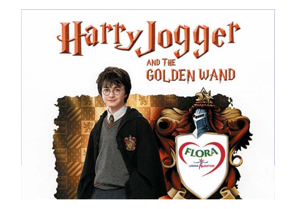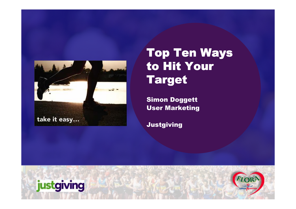

### Top Ten Ways to Hit Your Target

Simon DoggettUser Marketing

Justgiving

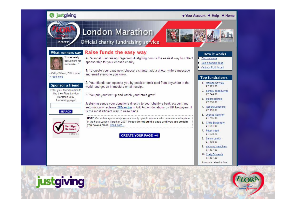#### *O* justgiving

#### • Your Account • Help • Home



#### London Marathon

#### Official charity fundraising service

#### Raise funds the easy way



A Personal Fundraising Page from Justgiving com is the easiest way to collect sponsorship for your chosen charity.

1. To create your page now, choose a charity, add a photo, write a message Cathy Wilson, FLM runner and email everyone you know.

#### Sponsor a friend

read more

Enter your friend's name to find their Flora London Marathon 2007 fundraising page:

**SEARCH** 

VerlSign **Secured** 

**VEDIEY** 

2. Your friends can sponsor you by credit or debit card from anywhere in the world, and get an immediate email receipt.

3. You put your feet up and watch your totals grow!

Justgiving sends your donations directly to your charity's bank account and automatically reclaims 28% extra in Gift Aid on donations by UK taxpayers. It is the most efficient way to raise funds.

NOTE: Our online sponsorship service is only open to runners who have secured a place in the Flora London Marathon 2007. Please do not build a page until you are certain vou have a place. Read more..

**CREATE YOUR PAGE ··· }** 

#### **How it works**

Find out more See a sample page

Visit our FLM forum!

#### **Top fundraisers**

- Melissa Cowley  $\mathcal{F}$ £2.923.00
- 2. sergey sheshuryak £2,744.00
- 3. stuart collinos £2,356.00
- 4. Robert Schooling €2.118.00
- 5. Joshua Gardner €1,755.00
- 6. Chris Bradshaw €1,651.00
- 7. Peter Mead €1,578.20
- 8. Simon Lamkin £1,400.00
- 9. anthony meacham €1.337.00
- 10. Craig Edwards €1,307.20
- Amounts raised online.

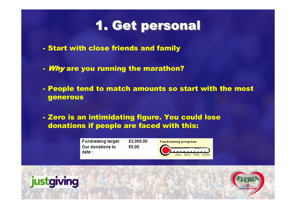### 1. Get personal

- Start with close friends and family
- *Why* are you running the marathon?
- People tend to match amounts so start with the most<br>——————————————————— generous
- Zero is an intimidating figure. You could lose donations if people are faced with this:



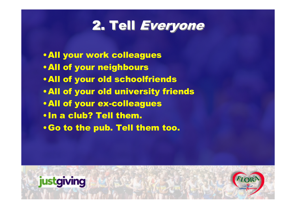## 2. Tell Everyone

- •All your work colleagues
- •All of your neighbours
- •All of your old schoolfriends
- •All of your old university friends
- •All of your ex-colleagues
- •In a club? Tell them.
- •Go to the pub. Tell them too.

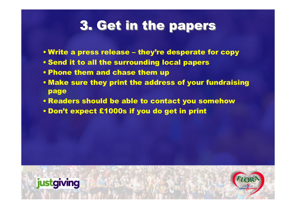## 3. Get in the papers

- Write a press release they're desperate for copy
- Send it to all the surrounding local papers
- Phone them and chase them up
- Make sure they print the address of your fundraising page
- Readers should be able to contact you somehow
- Don't expect £1000s if you do get in print

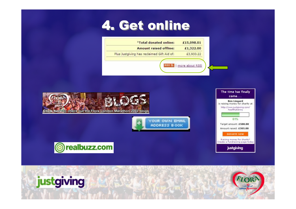### 4. Get online

| <b>Amount raised offline:</b><br>£1,322.00<br>Plus Justgiving has reclaimed Gift Aid of:<br>£3,933.22 | *Total donated online: | £15,098.01     |
|-------------------------------------------------------------------------------------------------------|------------------------|----------------|
|                                                                                                       |                        |                |
|                                                                                                       |                        |                |
|                                                                                                       |                        |                |
|                                                                                                       | RSS <sub>3</sub>       | more about RSS |









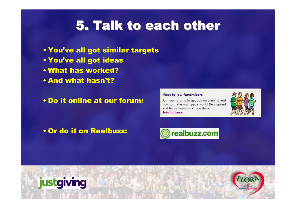### 5. Talk to each other

- You've all got similar targets
- You've all got ideas
- What has worked?
- And what hasn't?
- Do it online at our forum:

#### Meet fellow fundraisers

Join our forums to get tips on training and how to make your page work! Be inspired and let us know what you think. Join in here



• Or do it on Realbuzz:



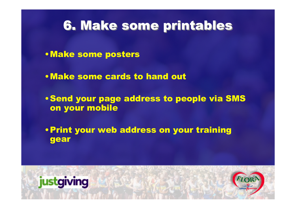# 6. Make some printables

- •Make some posters
- •Make some cards to hand out
- •Send your page address to people via SMS on your mobile
- •Print your web address on your training gear



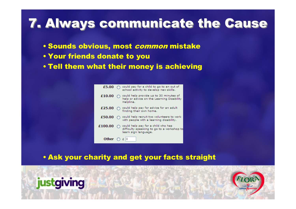# **7. Always communicate the Cause**

- Sounds obvious, most *common* mistake<br>————————————————————
- Your friends donate to you
- Tell them what their money is achieving

| £5.00                       | could pay for a child to go to an out of<br>school activity to develop new skills.                                 |
|-----------------------------|--------------------------------------------------------------------------------------------------------------------|
| £10.00                      | could help provide up to 30 minutes of<br>help or advice on the Learning Disability<br>Helpline.                   |
| £25.00                      | could help pay for advice for an adult<br>$\bigcirc$<br>finding their own home.                                    |
| £50.00                      | could help recruit two volunteers to work<br>with people with a learning disability.                               |
| £100.00                     | $\bigcap$ could help pay for a child who has<br>difficulty speaking to go to a workshop to<br>learn sign language. |
| Other $\bigcirc$ $\epsilon$ | 10                                                                                                                 |

• Ask your charity and get your facts straight

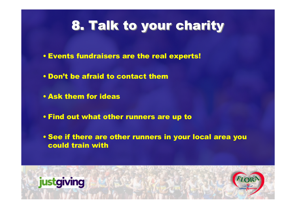# **8. Talk to your charity**

- Events fundraisers are the real experts!
- Don't be afraid to contact them
- Ask them for ideas
- Find out what other runners are up to
- See if there are other runners in your local area you could train with

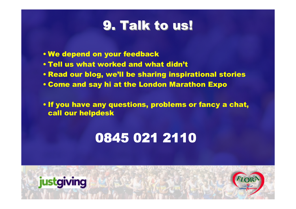### 9. Talk to us!

- We depend on your feedback
- Tell us what worked and what didn't
- Read our blog, we'll be sharing inspirational stories
- Come and say hi at the London Marathon Expo

• If you have any questions, problems or fancy a chat, call our helpdesk

## 0845 021 2110

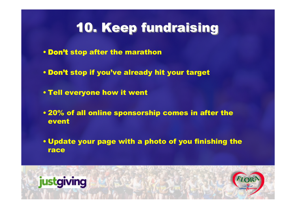## 10. Keep fundraising

- Don't stop after the marathon
- Don't stop if you've already hit your target
- Tell everyone how it went
- 20% of all online sponsorship comes in after the event
- Update your page with a photo of you finishing the race